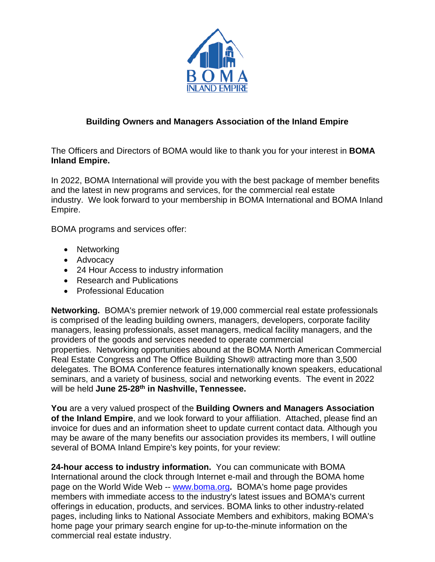

#### **Building Owners and Managers Association of the Inland Empire**

The Officers and Directors of BOMA would like to thank you for your interest in **BOMA Inland Empire.**

In 2022, BOMA International will provide you with the best package of member benefits and the latest in new programs and services, for the commercial real estate industry. We look forward to your membership in BOMA International and BOMA Inland Empire.

BOMA programs and services offer:

- Networking
- Advocacy
- 24 Hour Access to industry information
- Research and Publications
- Professional Education

**Networking.** BOMA's premier network of 19,000 commercial real estate professionals is comprised of the leading building owners, managers, developers, corporate facility managers, leasing professionals, asset managers, medical facility managers, and the providers of the goods and services needed to operate commercial properties. Networking opportunities abound at the BOMA North American Commercial Real Estate Congress and The Office Building Show® attracting more than 3,500 delegates. The BOMA Conference features internationally known speakers, educational seminars, and a variety of business, social and networking events. The event in 2022 will be held **June 25-28th in Nashville, Tennessee.** 

**You** are a very valued prospect of the **Building Owners and Managers Association of the Inland Empire**, and we look forward to your affiliation. Attached, please find an invoice for dues and an information sheet to update current contact data. Although you may be aware of the many benefits our association provides its members, I will outline several of BOMA Inland Empire's key points, for your review:

**24-hour access to industry information.** You can communicate with BOMA International around the clock through Internet e-mail and through the BOMA home page on the World Wide Web -- [www.boma.org](http://www.boma.org/)**.** BOMA's home page provides members with immediate access to the industry's latest issues and BOMA's current offerings in education, products, and services. BOMA links to other industry-related pages, including links to National Associate Members and exhibitors, making BOMA's home page your primary search engine for up-to-the-minute information on the commercial real estate industry.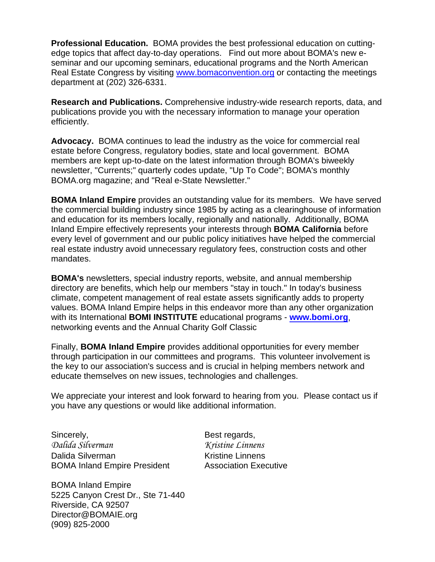**Professional Education.** BOMA provides the best professional education on cuttingedge topics that affect day-to-day operations. Find out more about BOMA's new eseminar and our upcoming seminars, educational programs and the North American Real Estate Congress by visiting [www.bomaconvention.org](http://www.bomaconvention.org/) or contacting the meetings department at (202) 326-6331.

**Research and Publications.** Comprehensive industry-wide research reports, data, and publications provide you with the necessary information to manage your operation efficiently.

**Advocacy.** BOMA continues to lead the industry as the voice for commercial real estate before Congress, regulatory bodies, state and local government. BOMA members are kept up-to-date on the latest information through BOMA's biweekly newsletter, "Currents;" quarterly codes update, "Up To Code"; BOMA's monthly BOMA.org magazine; and "Real e-State Newsletter."

**BOMA Inland Empire** provides an outstanding value for its members. We have served the commercial building industry since 1985 by acting as a clearinghouse of information and education for its members locally, regionally and nationally. Additionally, BOMA Inland Empire effectively represents your interests through **BOMA California** before every level of government and our public policy initiatives have helped the commercial real estate industry avoid unnecessary regulatory fees, construction costs and other mandates.

**BOMA's** newsletters, special industry reports, website, and annual membership directory are benefits, which help our members "stay in touch." In today's business climate, competent management of real estate assets significantly adds to property values. BOMA Inland Empire helps in this endeavor more than any other organization with its International **BOMI INSTITUTE** educational programs - **www.bomi.org**, networking events and the Annual Charity Golf Classic

Finally, **BOMA Inland Empire** provides additional opportunities for every member through participation in our committees and programs. This volunteer involvement is the key to our association's success and is crucial in helping members network and educate themselves on new issues, technologies and challenges.

We appreciate your interest and look forward to hearing from you. Please contact us if you have any questions or would like additional information.

Sincerely, Sincerely, Sincerely, Sincerely, Sincerely, Best regards, *Dalida Silverman Kristine Linnens* Dalida Silverman New York Charles Kristine Linnens BOMA Inland Empire President Association Executive

BOMA Inland Empire 5225 Canyon Crest Dr., Ste 71-440 Riverside, CA 92507 Director@BOMAIE.org (909) 825-2000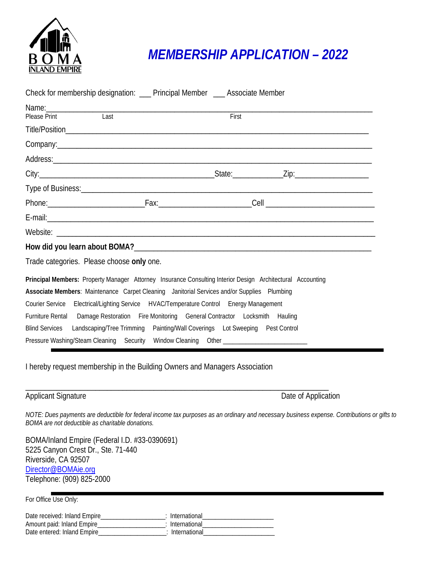

## *MEMBERSHIP APPLICATION – 2022*

| Check for membership designation: __ Principal Member __ Associate Member                                                                                                                                                            |
|--------------------------------------------------------------------------------------------------------------------------------------------------------------------------------------------------------------------------------------|
|                                                                                                                                                                                                                                      |
| <b>Last</b><br>First<br>Please Print                                                                                                                                                                                                 |
|                                                                                                                                                                                                                                      |
|                                                                                                                                                                                                                                      |
|                                                                                                                                                                                                                                      |
|                                                                                                                                                                                                                                      |
| Type of Business: <u>contract the contract of the set of the set of the set of the set of the set of the set of the set of the set of the set of the set of the set of the set of the set of the set of the set of the set of th</u> |
|                                                                                                                                                                                                                                      |
|                                                                                                                                                                                                                                      |
|                                                                                                                                                                                                                                      |
|                                                                                                                                                                                                                                      |
| Trade categories. Please choose only one.                                                                                                                                                                                            |
| Principal Members: Property Manager Attorney Insurance Consulting Interior Design Architectural Accounting                                                                                                                           |
| Associate Members: Maintenance Carpet Cleaning Janitorial Services and/or Supplies Plumbing                                                                                                                                          |
| Courier Service Electrical/Lighting Service HVAC/Temperature Control Energy Management                                                                                                                                               |
| Furniture Rental Damage Restoration Fire Monitoring General Contractor Locksmith Hauling                                                                                                                                             |
| Blind Services Landscaping/Tree Trimming Painting/Wall Coverings Lot Sweeping Pest Control                                                                                                                                           |
| Pressure Washing/Steam Cleaning Security Window Cleaning Other __________________                                                                                                                                                    |

I hereby request membership in the Building Owners and Managers Association

\_\_\_\_\_\_\_\_\_\_\_\_\_\_\_\_\_\_\_\_\_\_\_\_\_\_\_\_\_\_\_\_\_\_\_\_\_\_\_\_\_\_\_\_\_\_\_\_\_\_\_\_\_\_\_\_\_\_\_\_\_\_\_\_\_\_\_\_\_\_\_\_\_\_\_\_\_\_

#### Applicant Signature **Date of Application**

*NOTE: Dues payments are deductible for federal income tax purposes as an ordinary and necessary business expense. Contributions or gifts to BOMA are not deductible as charitable donations.*

BOMA/Inland Empire (Federal I.D. #33-0390691) 5225 Canyon Crest Dr., Ste. 71-440 Riverside, CA 92507 [Director@BOMAie.org](mailto:Director@BOMAie.org) Telephone: (909) 825-2000

For Office Use Only:

| Date received: Inland Empire | International |
|------------------------------|---------------|
| Amount paid: Inland Empire   | International |
| Date entered: Inland Empire_ | International |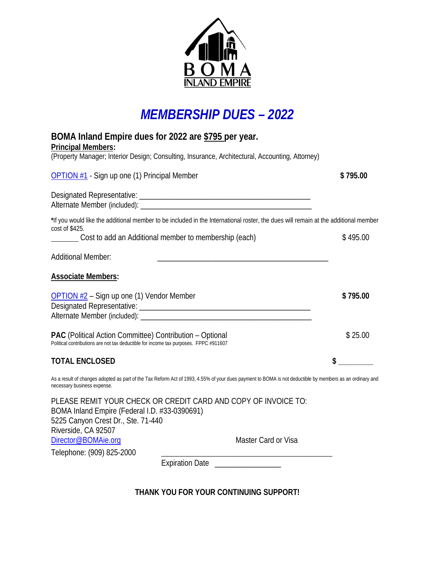

### *MEMBERSHIP DUES – 2022*

| BOMA Inland Empire dues for 2022 are \$795 per year.                                                                                                                                    |          |
|-----------------------------------------------------------------------------------------------------------------------------------------------------------------------------------------|----------|
| <b>Principal Members:</b><br>(Property Manager; Interior Design; Consulting, Insurance, Architectural, Accounting, Attorney)                                                            |          |
| OPTION #1 - Sign up one (1) Principal Member                                                                                                                                            | \$795.00 |
|                                                                                                                                                                                         |          |
| *If you would like the additional member to be included in the International roster, the dues will remain at the additional member<br>cost of \$425.                                    |          |
| Cost to add an Additional member to membership (each)                                                                                                                                   | \$495.00 |
| <b>Additional Member:</b>                                                                                                                                                               |          |
| <b>Associate Members:</b>                                                                                                                                                               |          |
| OPTION #2 - Sign up one (1) Vendor Member                                                                                                                                               | \$795.00 |
| <b>PAC</b> (Political Action Committee) Contribution - Optional<br>Political contributions are not tax deductible for income tax purposes. FPPC #911607                                 | \$25.00  |
| <b>TOTAL ENCLOSED</b>                                                                                                                                                                   | \$       |
| As a result of changes adopted as part of the Tax Reform Act of 1993, 4.55% of your dues payment to BOMA is not deductible by members as an ordinary and<br>necessary business expense. |          |
| PLEASE REMIT YOUR CHECK OR CREDIT CARD AND COPY OF INVOICE TO:<br>BOMA Inland Empire (Federal I.D. #33-0390691)<br>5225 Canyon Crest Dr., Ste. 71-440<br>Riverside, CA 92507            |          |
| Director@BOMAie.org<br><b>Master Card or Visa</b>                                                                                                                                       |          |
| Telephone: (909) 825-2000<br>Expiration Date                                                                                                                                            |          |
|                                                                                                                                                                                         |          |

**THANK YOU FOR YOUR CONTINUING SUPPORT!**